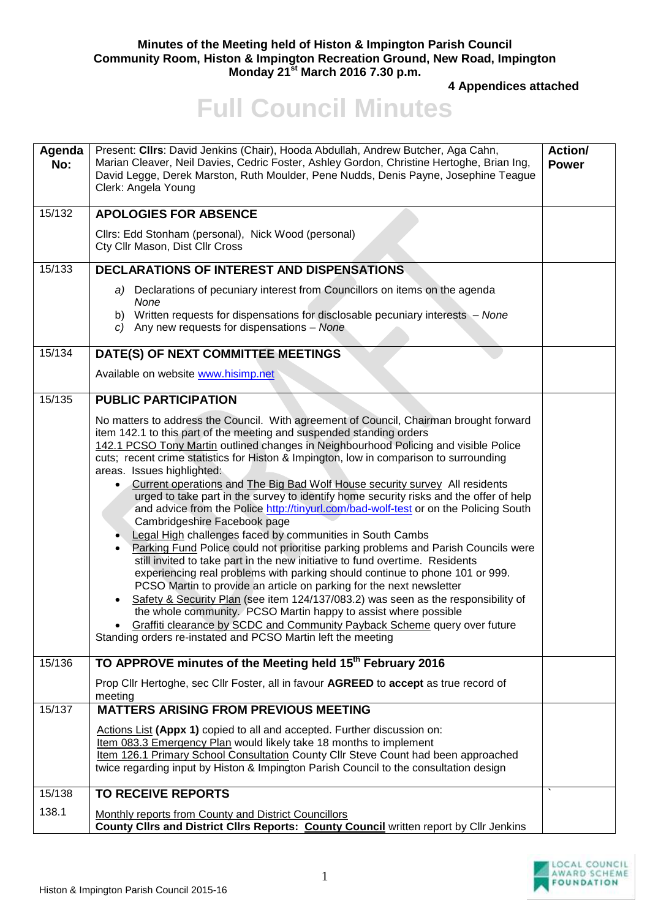## **Minutes of the Meeting held of Histon & Impington Parish Council Community Room, Histon & Impington Recreation Ground, New Road, Impington Monday 21st March 2016 7.30 p.m.**

**4 Appendices attached** 

## **Full Council Minutes**

| Agenda<br>No: | Present: Clirs: David Jenkins (Chair), Hooda Abdullah, Andrew Butcher, Aga Cahn,<br>Marian Cleaver, Neil Davies, Cedric Foster, Ashley Gordon, Christine Hertoghe, Brian Ing,<br>David Legge, Derek Marston, Ruth Moulder, Pene Nudds, Denis Payne, Josephine Teague<br>Clerk: Angela Young                                                                                                                                                                                                                                                                                                                                                                                                                                                                                                                                                                                                                                                                                                                                                                                                                                                                                                                                                                                                                                                                                                  | <b>Action/</b><br><b>Power</b> |
|---------------|----------------------------------------------------------------------------------------------------------------------------------------------------------------------------------------------------------------------------------------------------------------------------------------------------------------------------------------------------------------------------------------------------------------------------------------------------------------------------------------------------------------------------------------------------------------------------------------------------------------------------------------------------------------------------------------------------------------------------------------------------------------------------------------------------------------------------------------------------------------------------------------------------------------------------------------------------------------------------------------------------------------------------------------------------------------------------------------------------------------------------------------------------------------------------------------------------------------------------------------------------------------------------------------------------------------------------------------------------------------------------------------------|--------------------------------|
| 15/132        | <b>APOLOGIES FOR ABSENCE</b>                                                                                                                                                                                                                                                                                                                                                                                                                                                                                                                                                                                                                                                                                                                                                                                                                                                                                                                                                                                                                                                                                                                                                                                                                                                                                                                                                                 |                                |
|               | Cllrs: Edd Stonham (personal), Nick Wood (personal)<br>Cty Cllr Mason, Dist Cllr Cross                                                                                                                                                                                                                                                                                                                                                                                                                                                                                                                                                                                                                                                                                                                                                                                                                                                                                                                                                                                                                                                                                                                                                                                                                                                                                                       |                                |
| 15/133        | <b>DECLARATIONS OF INTEREST AND DISPENSATIONS</b>                                                                                                                                                                                                                                                                                                                                                                                                                                                                                                                                                                                                                                                                                                                                                                                                                                                                                                                                                                                                                                                                                                                                                                                                                                                                                                                                            |                                |
|               | a) Declarations of pecuniary interest from Councillors on items on the agenda<br>None<br>b) Written requests for dispensations for disclosable pecuniary interests - None<br>c) Any new requests for dispensations $-$ None                                                                                                                                                                                                                                                                                                                                                                                                                                                                                                                                                                                                                                                                                                                                                                                                                                                                                                                                                                                                                                                                                                                                                                  |                                |
| 15/134        | DATE(S) OF NEXT COMMITTEE MEETINGS                                                                                                                                                                                                                                                                                                                                                                                                                                                                                                                                                                                                                                                                                                                                                                                                                                                                                                                                                                                                                                                                                                                                                                                                                                                                                                                                                           |                                |
|               | Available on website www.hisimp.net                                                                                                                                                                                                                                                                                                                                                                                                                                                                                                                                                                                                                                                                                                                                                                                                                                                                                                                                                                                                                                                                                                                                                                                                                                                                                                                                                          |                                |
| 15/135        | <b>PUBLIC PARTICIPATION</b>                                                                                                                                                                                                                                                                                                                                                                                                                                                                                                                                                                                                                                                                                                                                                                                                                                                                                                                                                                                                                                                                                                                                                                                                                                                                                                                                                                  |                                |
|               | No matters to address the Council. With agreement of Council, Chairman brought forward<br>item 142.1 to this part of the meeting and suspended standing orders<br>142.1 PCSO Tony Martin outlined changes in Neighbourhood Policing and visible Police<br>cuts; recent crime statistics for Histon & Impington, low in comparison to surrounding<br>areas. Issues highlighted:<br>Current operations and The Big Bad Wolf House security survey All residents<br>$\bullet$<br>urged to take part in the survey to identify home security risks and the offer of help<br>and advice from the Police http://tinyurl.com/bad-wolf-test or on the Policing South<br>Cambridgeshire Facebook page<br>Legal High challenges faced by communities in South Cambs<br>Parking Fund Police could not prioritise parking problems and Parish Councils were<br>still invited to take part in the new initiative to fund overtime. Residents<br>experiencing real problems with parking should continue to phone 101 or 999.<br>PCSO Martin to provide an article on parking for the next newsletter<br>Safety & Security Plan (see item 124/137/083.2) was seen as the responsibility of<br>the whole community. PCSO Martin happy to assist where possible<br>Graffiti clearance by SCDC and Community Payback Scheme query over future<br>Standing orders re-instated and PCSO Martin left the meeting |                                |
| 15/136        | TO APPROVE minutes of the Meeting held 15 <sup>th</sup> February 2016                                                                                                                                                                                                                                                                                                                                                                                                                                                                                                                                                                                                                                                                                                                                                                                                                                                                                                                                                                                                                                                                                                                                                                                                                                                                                                                        |                                |
|               | Prop Cllr Hertoghe, sec Cllr Foster, all in favour AGREED to accept as true record of<br>meeting                                                                                                                                                                                                                                                                                                                                                                                                                                                                                                                                                                                                                                                                                                                                                                                                                                                                                                                                                                                                                                                                                                                                                                                                                                                                                             |                                |
| 15/137        | <b>MATTERS ARISING FROM PREVIOUS MEETING</b>                                                                                                                                                                                                                                                                                                                                                                                                                                                                                                                                                                                                                                                                                                                                                                                                                                                                                                                                                                                                                                                                                                                                                                                                                                                                                                                                                 |                                |
|               | Actions List (Appx 1) copied to all and accepted. Further discussion on:<br>Item 083.3 Emergency Plan would likely take 18 months to implement<br>Item 126.1 Primary School Consultation County Cllr Steve Count had been approached<br>twice regarding input by Histon & Impington Parish Council to the consultation design                                                                                                                                                                                                                                                                                                                                                                                                                                                                                                                                                                                                                                                                                                                                                                                                                                                                                                                                                                                                                                                                |                                |
| 15/138        | <b>TO RECEIVE REPORTS</b>                                                                                                                                                                                                                                                                                                                                                                                                                                                                                                                                                                                                                                                                                                                                                                                                                                                                                                                                                                                                                                                                                                                                                                                                                                                                                                                                                                    |                                |
| 138.1         | Monthly reports from County and District Councillors<br>County Clirs and District Clirs Reports: County Council written report by Cllr Jenkins                                                                                                                                                                                                                                                                                                                                                                                                                                                                                                                                                                                                                                                                                                                                                                                                                                                                                                                                                                                                                                                                                                                                                                                                                                               |                                |

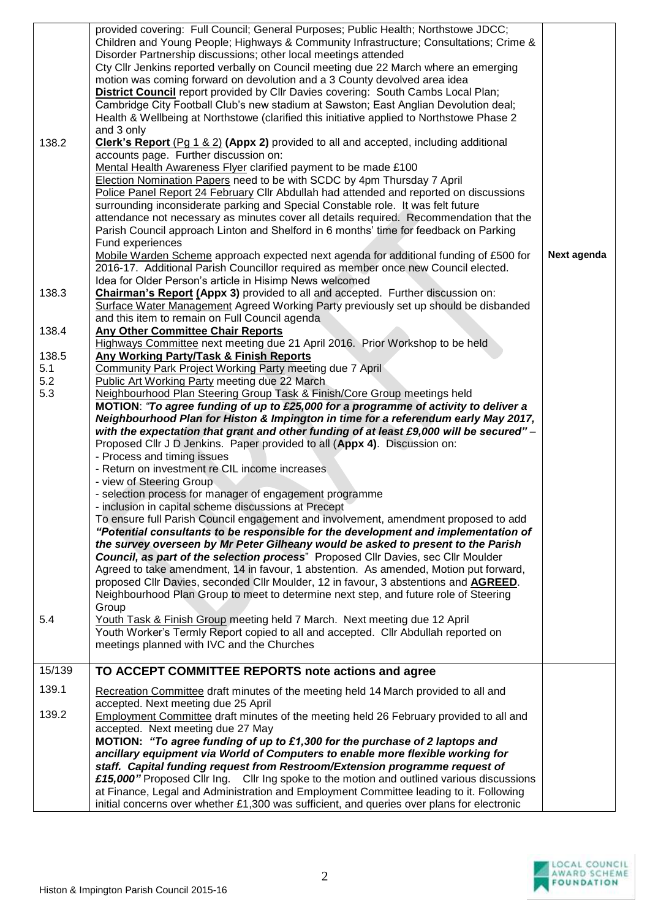| 138.2         | provided covering: Full Council; General Purposes; Public Health; Northstowe JDCC;<br>Children and Young People; Highways & Community Infrastructure; Consultations; Crime &<br>Disorder Partnership discussions; other local meetings attended<br>Cty Cllr Jenkins reported verbally on Council meeting due 22 March where an emerging<br>motion was coming forward on devolution and a 3 County devolved area idea<br><b>District Council</b> report provided by Cllr Davies covering: South Cambs Local Plan;<br>Cambridge City Football Club's new stadium at Sawston; East Anglian Devolution deal;<br>Health & Wellbeing at Northstowe (clarified this initiative applied to Northstowe Phase 2<br>and 3 only<br><b>Clerk's Report (Pq 1 &amp; 2) (Appx 2)</b> provided to all and accepted, including additional<br>accounts page. Further discussion on:<br>Mental Health Awareness Flyer clarified payment to be made £100<br>Election Nomination Papers need to be with SCDC by 4pm Thursday 7 April<br>Police Panel Report 24 February Cllr Abdullah had attended and reported on discussions<br>surrounding inconsiderate parking and Special Constable role. It was felt future<br>attendance not necessary as minutes cover all details required. Recommendation that the<br>Parish Council approach Linton and Shelford in 6 months' time for feedback on Parking<br>Fund experiences<br>Mobile Warden Scheme approach expected next agenda for additional funding of £500 for<br>2016-17. Additional Parish Councillor required as member once new Council elected.<br>Idea for Older Person's article in Hisimp News welcomed | Next agenda |
|---------------|------------------------------------------------------------------------------------------------------------------------------------------------------------------------------------------------------------------------------------------------------------------------------------------------------------------------------------------------------------------------------------------------------------------------------------------------------------------------------------------------------------------------------------------------------------------------------------------------------------------------------------------------------------------------------------------------------------------------------------------------------------------------------------------------------------------------------------------------------------------------------------------------------------------------------------------------------------------------------------------------------------------------------------------------------------------------------------------------------------------------------------------------------------------------------------------------------------------------------------------------------------------------------------------------------------------------------------------------------------------------------------------------------------------------------------------------------------------------------------------------------------------------------------------------------------------------------------------------------------------------------------------------|-------------|
| 138.3         | <b>Chairman's Report (Appx 3)</b> provided to all and accepted. Further discussion on:<br>Surface Water Management Agreed Working Party previously set up should be disbanded<br>and this item to remain on Full Council agenda                                                                                                                                                                                                                                                                                                                                                                                                                                                                                                                                                                                                                                                                                                                                                                                                                                                                                                                                                                                                                                                                                                                                                                                                                                                                                                                                                                                                                |             |
| 138.4         | <b>Any Other Committee Chair Reports</b><br>Highways Committee next meeting due 21 April 2016. Prior Workshop to be held                                                                                                                                                                                                                                                                                                                                                                                                                                                                                                                                                                                                                                                                                                                                                                                                                                                                                                                                                                                                                                                                                                                                                                                                                                                                                                                                                                                                                                                                                                                       |             |
| 138.5         | <b>Any Working Party/Task &amp; Finish Reports</b>                                                                                                                                                                                                                                                                                                                                                                                                                                                                                                                                                                                                                                                                                                                                                                                                                                                                                                                                                                                                                                                                                                                                                                                                                                                                                                                                                                                                                                                                                                                                                                                             |             |
| 5.1           | <b>Community Park Project Working Party meeting due 7 April</b>                                                                                                                                                                                                                                                                                                                                                                                                                                                                                                                                                                                                                                                                                                                                                                                                                                                                                                                                                                                                                                                                                                                                                                                                                                                                                                                                                                                                                                                                                                                                                                                |             |
| 5.2           | Public Art Working Party meeting due 22 March                                                                                                                                                                                                                                                                                                                                                                                                                                                                                                                                                                                                                                                                                                                                                                                                                                                                                                                                                                                                                                                                                                                                                                                                                                                                                                                                                                                                                                                                                                                                                                                                  |             |
| 5.3           | Neighbourhood Plan Steering Group Task & Finish/Core Group meetings held                                                                                                                                                                                                                                                                                                                                                                                                                                                                                                                                                                                                                                                                                                                                                                                                                                                                                                                                                                                                                                                                                                                                                                                                                                                                                                                                                                                                                                                                                                                                                                       |             |
| 5.4<br>15/139 | MOTION: "To agree funding of up to £25,000 for a programme of activity to deliver a<br>Neighbourhood Plan for Histon & Impington in time for a referendum early May 2017,<br>with the expectation that grant and other funding of at least £9,000 will be secured" -<br>Proposed Cllr J D Jenkins. Paper provided to all (Appx 4). Discussion on:<br>- Process and timing issues<br>- Return on investment re CIL income increases<br>- view of Steering Group<br>- selection process for manager of engagement programme<br>- inclusion in capital scheme discussions at Precept<br>To ensure full Parish Council engagement and involvement, amendment proposed to add<br>"Potential consultants to be responsible for the development and implementation of<br>the survey overseen by Mr Peter Gilheany would be asked to present to the Parish<br><b>Council, as part of the selection process</b> " Proposed Cllr Davies, sec Cllr Moulder<br>Agreed to take amendment, 14 in favour, 1 abstention. As amended, Motion put forward,<br>proposed Cllr Davies, seconded Cllr Moulder, 12 in favour, 3 abstentions and AGREED.<br>Neighbourhood Plan Group to meet to determine next step, and future role of Steering<br>Group<br>Youth Task & Finish Group meeting held 7 March. Next meeting due 12 April<br>Youth Worker's Termly Report copied to all and accepted. Cllr Abdullah reported on<br>meetings planned with IVC and the Churches<br>TO ACCEPT COMMITTEE REPORTS note actions and agree                                                                                                                                       |             |
|               |                                                                                                                                                                                                                                                                                                                                                                                                                                                                                                                                                                                                                                                                                                                                                                                                                                                                                                                                                                                                                                                                                                                                                                                                                                                                                                                                                                                                                                                                                                                                                                                                                                                |             |
| 139.1         | Recreation Committee draft minutes of the meeting held 14 March provided to all and<br>accepted. Next meeting due 25 April                                                                                                                                                                                                                                                                                                                                                                                                                                                                                                                                                                                                                                                                                                                                                                                                                                                                                                                                                                                                                                                                                                                                                                                                                                                                                                                                                                                                                                                                                                                     |             |
| 139.2         | Employment Committee draft minutes of the meeting held 26 February provided to all and<br>accepted. Next meeting due 27 May<br>MOTION: "To agree funding of up to £1,300 for the purchase of 2 laptops and<br>ancillary equipment via World of Computers to enable more flexible working for<br>staff. Capital funding request from Restroom/Extension programme request of<br>£15,000" Proposed Cllr Ing. Cllr Ing spoke to the motion and outlined various discussions<br>at Finance, Legal and Administration and Employment Committee leading to it. Following<br>initial concerns over whether £1,300 was sufficient, and queries over plans for electronic                                                                                                                                                                                                                                                                                                                                                                                                                                                                                                                                                                                                                                                                                                                                                                                                                                                                                                                                                                               |             |

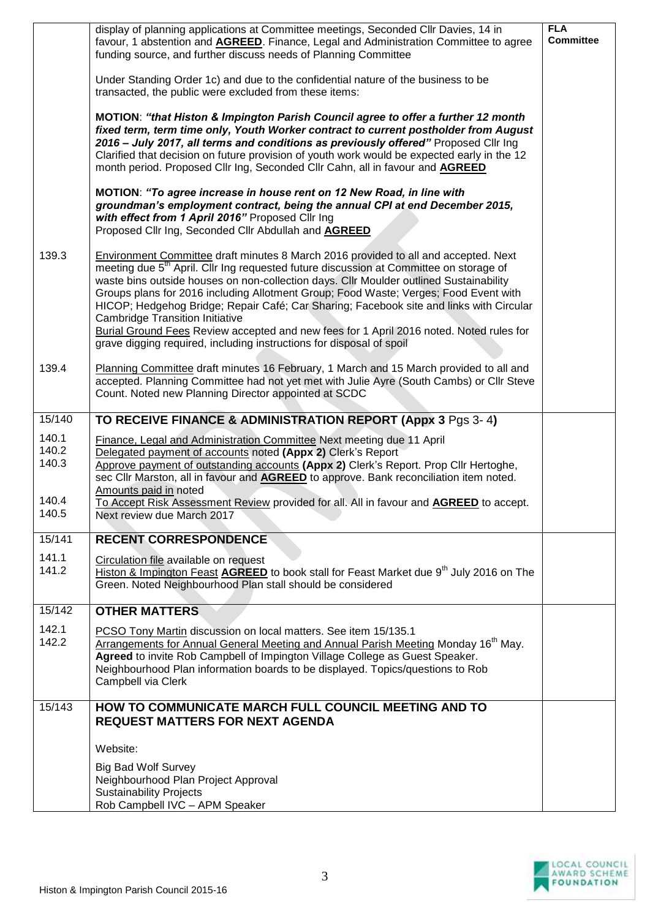|                                  | display of planning applications at Committee meetings, Seconded Cllr Davies, 14 in<br>favour, 1 abstention and AGREED. Finance, Legal and Administration Committee to agree<br>funding source, and further discuss needs of Planning Committee                                                                                                                                                                                                                                                                                                                                                                                                                                     | <b>FLA</b><br><b>Committee</b> |
|----------------------------------|-------------------------------------------------------------------------------------------------------------------------------------------------------------------------------------------------------------------------------------------------------------------------------------------------------------------------------------------------------------------------------------------------------------------------------------------------------------------------------------------------------------------------------------------------------------------------------------------------------------------------------------------------------------------------------------|--------------------------------|
|                                  | Under Standing Order 1c) and due to the confidential nature of the business to be<br>transacted, the public were excluded from these items:                                                                                                                                                                                                                                                                                                                                                                                                                                                                                                                                         |                                |
|                                  | MOTION: "that Histon & Impington Parish Council agree to offer a further 12 month<br>fixed term, term time only, Youth Worker contract to current postholder from August<br>2016 - July 2017, all terms and conditions as previously offered" Proposed Cllr Ing<br>Clarified that decision on future provision of youth work would be expected early in the 12<br>month period. Proposed Cllr Ing, Seconded Cllr Cahn, all in favour and <b>AGREED</b>                                                                                                                                                                                                                              |                                |
|                                  | MOTION: "To agree increase in house rent on 12 New Road, in line with<br>groundman's employment contract, being the annual CPI at end December 2015,<br>with effect from 1 April 2016" Proposed Cllr Ing<br>Proposed Cllr Ing, Seconded Cllr Abdullah and AGREED                                                                                                                                                                                                                                                                                                                                                                                                                    |                                |
| 139.3                            | Environment Committee draft minutes 8 March 2016 provided to all and accepted. Next<br>meeting due 5 <sup>th</sup> April. Cllr Ing requested future discussion at Committee on storage of<br>waste bins outside houses on non-collection days. Cllr Moulder outlined Sustainability<br>Groups plans for 2016 including Allotment Group; Food Waste; Verges; Food Event with<br>HICOP; Hedgehog Bridge; Repair Café; Car Sharing; Facebook site and links with Circular<br><b>Cambridge Transition Initiative</b><br>Burial Ground Fees Review accepted and new fees for 1 April 2016 noted. Noted rules for<br>grave digging required, including instructions for disposal of spoil |                                |
| 139.4                            | Planning Committee draft minutes 16 February, 1 March and 15 March provided to all and<br>accepted. Planning Committee had not yet met with Julie Ayre (South Cambs) or Cllr Steve<br>Count. Noted new Planning Director appointed at SCDC                                                                                                                                                                                                                                                                                                                                                                                                                                          |                                |
| 15/140                           | TO RECEIVE FINANCE & ADMINISTRATION REPORT (Appx 3 Pgs 3-4)                                                                                                                                                                                                                                                                                                                                                                                                                                                                                                                                                                                                                         |                                |
| 140.1<br>140.2<br>140.3<br>140.4 | Finance, Legal and Administration Committee Next meeting due 11 April<br>Delegated payment of accounts noted (Appx 2) Clerk's Report<br>Approve payment of outstanding accounts (Appx 2) Clerk's Report. Prop Cllr Hertoghe,<br>sec Cllr Marston, all in favour and <b>AGREED</b> to approve. Bank reconciliation item noted.<br>Amounts paid in noted<br>To Accept Risk Assessment Review provided for all. All in favour and <b>AGREED</b> to accept.                                                                                                                                                                                                                             |                                |
| 140.5                            | Next review due March 2017                                                                                                                                                                                                                                                                                                                                                                                                                                                                                                                                                                                                                                                          |                                |
| 15/141                           | <b>RECENT CORRESPONDENCE</b>                                                                                                                                                                                                                                                                                                                                                                                                                                                                                                                                                                                                                                                        |                                |
| 141.1<br>141.2                   | Circulation file available on request<br>Histon & Impington Feast AGREED to book stall for Feast Market due 9 <sup>th</sup> July 2016 on The<br>Green. Noted Neighbourhood Plan stall should be considered                                                                                                                                                                                                                                                                                                                                                                                                                                                                          |                                |
| 15/142                           | <b>OTHER MATTERS</b>                                                                                                                                                                                                                                                                                                                                                                                                                                                                                                                                                                                                                                                                |                                |
| 142.1<br>142.2                   | PCSO Tony Martin discussion on local matters. See item 15/135.1<br>Arrangements for Annual General Meeting and Annual Parish Meeting Monday 16 <sup>th</sup> May.<br>Agreed to invite Rob Campbell of Impington Village College as Guest Speaker.<br>Neighbourhood Plan information boards to be displayed. Topics/questions to Rob<br>Campbell via Clerk                                                                                                                                                                                                                                                                                                                           |                                |
| 15/143                           | HOW TO COMMUNICATE MARCH FULL COUNCIL MEETING AND TO<br><b>REQUEST MATTERS FOR NEXT AGENDA</b>                                                                                                                                                                                                                                                                                                                                                                                                                                                                                                                                                                                      |                                |
|                                  | Website:                                                                                                                                                                                                                                                                                                                                                                                                                                                                                                                                                                                                                                                                            |                                |
|                                  | <b>Big Bad Wolf Survey</b><br>Neighbourhood Plan Project Approval<br><b>Sustainability Projects</b><br>Rob Campbell IVC - APM Speaker                                                                                                                                                                                                                                                                                                                                                                                                                                                                                                                                               |                                |